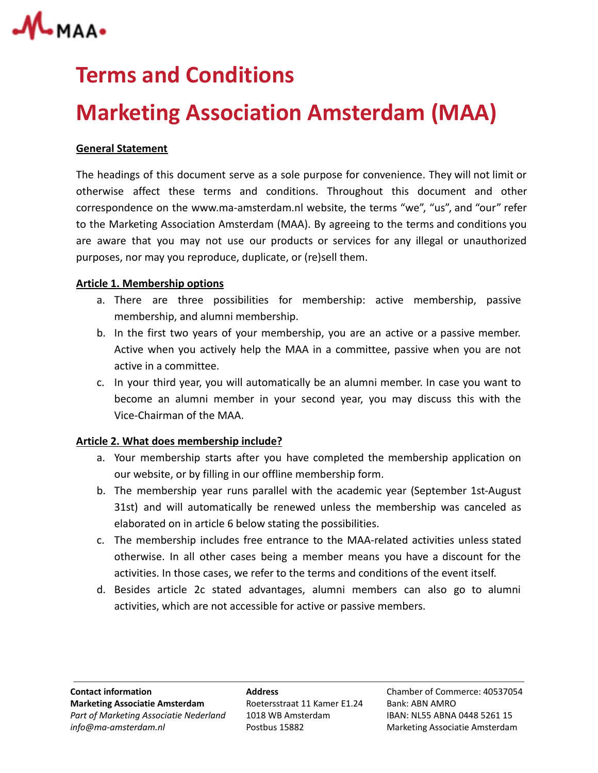

## **Terms and Conditions**

# **Marketing Association Amsterdam (MAA)**

## **General Statement**

The headings of this document serve as a sole purpose for convenience. They will not limit or otherwise affect these terms and conditions. Throughout this document and other correspondence on the www.ma-amsterdam.nl website, the terms "we", "us", and "our" refer to the Marketing Association Amsterdam (MAA). By agreeing to the terms and conditions you are aware that you may not use our products or services for any illegal or unauthorized purposes, nor may you reproduce, duplicate, or (re)sell them.

## **Article 1. Membership options**

- a. There are three possibilities for membership: active membership, passive membership, and alumni membership.
- b. In the first two years of your membership, you are an active or a passive member. Active when you actively help the MAA in a committee, passive when you are not active in a committee.
- c. In your third year, you will automatically be an alumni member. In case you want to become an alumni member in your second year, you may discuss this with the Vice-Chairman of the MAA.

## **Article 2. What does membership include?**

- a. Your membership starts after you have completed the membership application on our website, or by filling in our offline membership form.
- b. The membership year runs parallel with the academic year (September 1st-August 31st) and will automatically be renewed unless the membership was canceled as elaborated on in article 6 below stating the possibilities.
- c. The membership includes free entrance to the MAA-related activities unless stated otherwise. In all other cases being a member means you have a discount for the activities. In those cases, we refer to the terms and conditions of the event itself.
- d. Besides article 2c stated advantages, alumni members can also go to alumni activities, which are not accessible for active or passive members.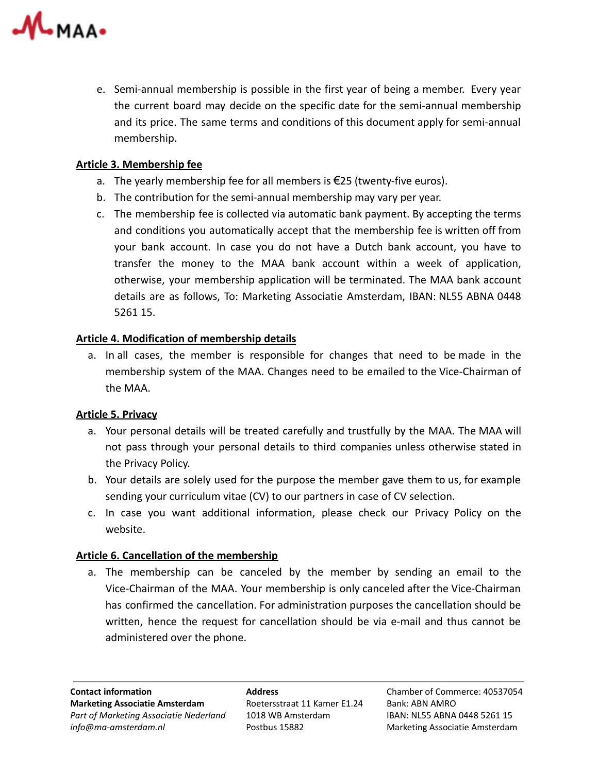

e. Semi-annual membership is possible in the first year of being a member. Every year the current board may decide on the specific date for the semi-annual membership and its price. The same terms and conditions of this document apply for semi-annual membership.

## **Article 3. Membership fee**

- a. The yearly membership fee for all members is €25 (twenty-five euros).
- b. The contribution for the semi-annual membership may vary per year.
- c. The membership fee is collected via automatic bank payment. By accepting the terms and conditions you automatically accept that the membership fee is written off from your bank account. In case you do not have a Dutch bank account, you have to transfer the money to the MAA bank account within a week of application, otherwise, your membership application will be terminated. The MAA bank account details are as follows, To: Marketing Associatie Amsterdam, IBAN: NL55 ABNA 0448 5261 15.

## **Article 4. Modification of membership details**

a. In all cases, the member is responsible for changes that need to be made in the membership system of the MAA. Changes need to be emailed to the Vice-Chairman of the MAA.

## **Article 5. Privacy**

- a. Your personal details will be treated carefully and trustfully by the MAA. The MAA will not pass through your personal details to third companies unless otherwise stated in the Privacy Policy.
- b. Your details are solely used for the purpose the member gave them to us, for example sending your curriculum vitae (CV) to our partners in case of CV selection.
- c. In case you want additional information, please check our Privacy Policy on the website.

## **Article 6. Cancellation of the membership**

a. The membership can be canceled by the member by sending an email to the Vice-Chairman of the MAA. Your membership is only canceled after the Vice-Chairman has confirmed the cancellation. For administration purposes the cancellation should be written, hence the request for cancellation should be via e-mail and thus cannot be administered over the phone.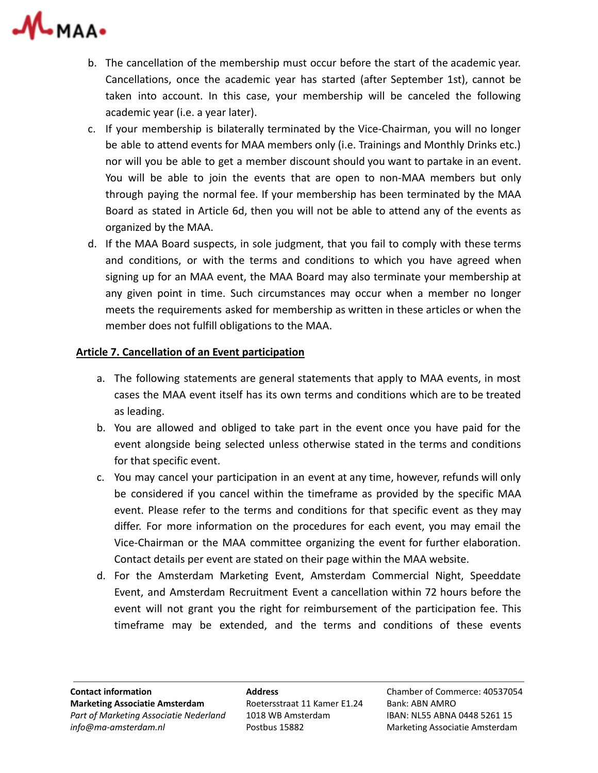

- b. The cancellation of the membership must occur before the start of the academic year. Cancellations, once the academic year has started (after September 1st), cannot be taken into account. In this case, your membership will be canceled the following academic year (i.e. a year later).
- c. If your membership is bilaterally terminated by the Vice-Chairman, you will no longer be able to attend events for MAA members only (i.e. Trainings and Monthly Drinks etc.) nor will you be able to get a member discount should you want to partake in an event. You will be able to join the events that are open to non-MAA members but only through paying the normal fee. If your membership has been terminated by the MAA Board as stated in Article 6d, then you will not be able to attend any of the events as organized by the MAA.
- d. If the MAA Board suspects, in sole judgment, that you fail to comply with these terms and conditions, or with the terms and conditions to which you have agreed when signing up for an MAA event, the MAA Board may also terminate your membership at any given point in time. Such circumstances may occur when a member no longer meets the requirements asked for membership as written in these articles or when the member does not fulfill obligations to the MAA.

## **Article 7. Cancellation of an Event participation**

- a. The following statements are general statements that apply to MAA events, in most cases the MAA event itself has its own terms and conditions which are to be treated as leading.
- b. You are allowed and obliged to take part in the event once you have paid for the event alongside being selected unless otherwise stated in the terms and conditions for that specific event.
- c. You may cancel your participation in an event at any time, however, refunds will only be considered if you cancel within the timeframe as provided by the specific MAA event. Please refer to the terms and conditions for that specific event as they may differ. For more information on the procedures for each event, you may email the Vice-Chairman or the MAA committee organizing the event for further elaboration. Contact details per event are stated on their page within the MAA website.
- d. For the Amsterdam Marketing Event, Amsterdam Commercial Night, Speeddate Event, and Amsterdam Recruitment Event a cancellation within 72 hours before the event will not grant you the right for reimbursement of the participation fee. This timeframe may be extended, and the terms and conditions of these events